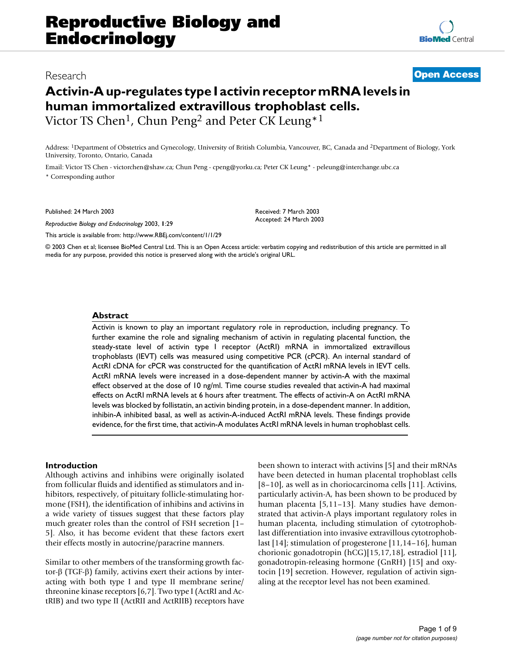# Research **[Open Access](http://www.biomedcentral.com/info/about/charter/)**

# **Activin-A up-regulates type I activin receptor mRNA levels in human immortalized extravillous trophoblast cells.** Victor TS Chen<sup>1</sup>, Chun Peng<sup>2</sup> and Peter CK Leung<sup>\*1</sup>

Address: 1Department of Obstetrics and Gynecology, University of British Columbia, Vancouver, BC, Canada and 2Department of Biology, York University, Toronto, Ontario, Canada

Email: Victor TS Chen - victorchen@shaw.ca; Chun Peng - cpeng@yorku.ca; Peter CK Leung\* - peleung@interchange.ubc.ca \* Corresponding author

Published: 24 March 2003

*Reproductive Biology and Endocrinology* 2003, **1**:29

Accepted: 24 March 2003

Received: 7 March 2003

[This article is available from: http://www.RBEj.com/content/1/1/29](http://www.RBEj.com/content/1/1/29)

© 2003 Chen et al; licensee BioMed Central Ltd. This is an Open Access article: verbatim copying and redistribution of this article are permitted in all media for any purpose, provided this notice is preserved along with the article's original URL.

## **Abstract**

Activin is known to play an important regulatory role in reproduction, including pregnancy. To further examine the role and signaling mechanism of activin in regulating placental function, the steady-state level of activin type I receptor (ActRI) mRNA in immortalized extravillous trophoblasts (IEVT) cells was measured using competitive PCR (cPCR). An internal standard of ActRI cDNA for cPCR was constructed for the quantification of ActRI mRNA levels in IEVT cells. ActRI mRNA levels were increased in a dose-dependent manner by activin-A with the maximal effect observed at the dose of 10 ng/ml. Time course studies revealed that activin-A had maximal effects on ActRI mRNA levels at 6 hours after treatment. The effects of activin-A on ActRI mRNA levels was blocked by follistatin, an activin binding protein, in a dose-dependent manner. In addition, inhibin-A inhibited basal, as well as activin-A-induced ActRI mRNA levels. These findings provide evidence, for the first time, that activin-A modulates ActRI mRNA levels in human trophoblast cells.

## **Introduction**

Although activins and inhibins were originally isolated from follicular fluids and identified as stimulators and inhibitors, respectively, of pituitary follicle-stimulating hormone (FSH), the identification of inhibins and activins in a wide variety of tissues suggest that these factors play much greater roles than the control of FSH secretion [1– 5]. Also, it has become evident that these factors exert their effects mostly in autocrine/paracrine manners.

Similar to other members of the transforming growth factor-β (TGF-β) family, activins exert their actions by interacting with both type I and type II membrane serine/ threonine kinase receptors [6,7]. Two type I (ActRI and ActRIB) and two type II (ActRII and ActRIIB) receptors have been shown to interact with activins [5] and their mRNAs have been detected in human placental trophoblast cells [8–10], as well as in choriocarcinoma cells [11]. Activins, particularly activin-A, has been shown to be produced by human placenta [5,11–13]. Many studies have demonstrated that activin-A plays important regulatory roles in human placenta, including stimulation of cytotrophoblast differentiation into invasive extravillous cytotrophoblast [14]; stimulation of progesterone [11,14–16], human chorionic gonadotropin (hCG)[15,17,18], estradiol [11], gonadotropin-releasing hormone (GnRH) [15] and oxytocin [19] secretion. However, regulation of activin signaling at the receptor level has not been examined.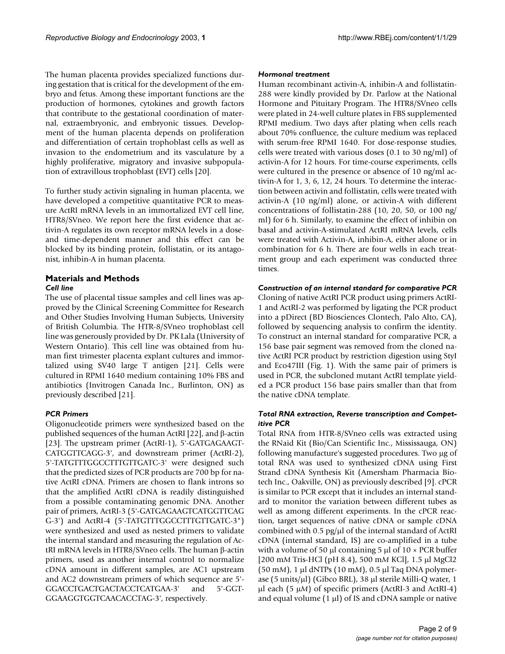The human placenta provides specialized functions during gestation that is critical for the development of the embryo and fetus. Among these important functions are the production of hormones, cytokines and growth factors that contribute to the gestational coordination of maternal, extraembryonic, and embryonic tissues. Development of the human placenta depends on proliferation and differentiation of certain trophoblast cells as well as invasion to the endometrium and its vasculature by a highly proliferative, migratory and invasive subpopulation of extravillous trophoblast (EVT) cells [20].

To further study activin signaling in human placenta, we have developed a competitive quantitative PCR to measure ActRI mRNA levels in an immortalized EVT cell line, HTR8/SVneo. We report here the first evidence that activin-A regulates its own receptor mRNA levels in a doseand time-dependent manner and this effect can be blocked by its binding protein, follistatin, or its antagonist, inhibin-A in human placenta.

#### **Materials and Methods** *Cell line*

The use of placental tissue samples and cell lines was approved by the Clinical Screening Committee for Research and Other Studies Involving Human Subjects, University of British Columbia. The HTR-8/SVneo trophoblast cell line was generously provided by Dr. PK Lala (University of Western Ontario). This cell line was obtained from human first trimester placenta explant cultures and immortalized using SV40 large T antigen [21]. Cells were cultured in RPMI 1640 medium containing 10% FBS and antibiotics (Invitrogen Canada Inc., Burlinton, ON) as previously described [21].

# *PCR Primers*

Oligonucleotide primers were synthesized based on the published sequences of the human ActRI [22], and β-actin [23]. The upstream primer (ActRI-1), 5'-GATGAGAAGT-CATGGTTCAGG-3', and downstream primer (ActRI-2), 5'-TATGTTTGGCCTTTGTTGATC-3' were designed such that the predicted sizes of PCR products are 700 bp for native ActRI cDNA. Primers are chosen to flank introns so that the amplified ActRI cDNA is readily distinguished from a possible contaminating genomic DNA. Another pair of primers, ActRI-3 (5'-GATGAGAAGTCATGGTTCAG G-3') and ActRI-4 (5'-TATGTTTGGCCTTTGTTGATC-3") were synthesized and used as nested primers to validate the internal standard and measuring the regulation of ActRI mRNA levels in HTR8/SVneo cells. The human β-actin primers, used as another internal control to normalize cDNA amount in different samples, are AC1 upstream and AC2 downstream primers of which sequence are 5'- GGACCTGACTGACTACCTCATGAA-3' and 5'-GGT-GGAAGGTGGTCAACACCTAG-3', respectively.

# *Hormonal treatment*

Human recombinant activin-A, inhibin-A and follistatin-288 were kindly provided by Dr. Parlow at the National Hormone and Pituitary Program. The HTR8/SVneo cells were plated in 24-well culture plates in FBS supplemented RPMI medium. Two days after plating when cells reach about 70% confluence, the culture medium was replaced with serum-free RPMI 1640. For dose-response studies, cells were treated with various doses (0.1 to 30 ng/ml) of activin-A for 12 hours. For time-course experiments, cells were cultured in the presence or absence of 10 ng/ml activin-A for 1, 3, 6, 12, 24 hours. To determine the interaction between activin and follistatin, cells were treated with activin-A (10 ng/ml) alone, or activin-A with different concentrations of follistatin-288 (10, 20, 50, or 100 ng/ ml) for 6 h. Similarly, to examine the effect of inhibin on basal and activin-A-stimulated ActRI mRNA levels, cells were treated with Activin-A, inhibin-A, either alone or in combination for 6 h. There are four wells in each treatment group and each experiment was conducted three times.

# *Construction of an internal standard for comparative PCR*

Cloning of native ActRI PCR product using primers ActRI-1 and ActRI-2 was performed by ligating the PCR product into a pDirect (BD Biosciences Clontech, Palo Alto, CA), followed by sequencing analysis to confirm the identity. To construct an internal standard for comparative PCR, a 156 base pair segment was removed from the cloned native ActRI PCR product by restriction digestion using StyI and Eco47III (Fig. [1\)](#page-2-0). With the same pair of primers is used in PCR, the subcloned mutant ActRI template yielded a PCR product 156 base pairs smaller than that from the native cDNA template.

# *Total RNA extraction, Reverse transcription and Competitive PCR*

Total RNA from HTR-8/SVneo cells was extracted using the RNaid Kit (Bio/Can Scientific Inc., Mississauga, ON) following manufacture's suggested procedures. Two µg of total RNA was used to synthesized cDNA using First Strand cDNA Synthesis Kit (Amersham Pharmacia Biotech Inc., Oakville, ON) as previously described [9]. cPCR is similar to PCR except that it includes an internal standard to monitor the variation between different tubes as well as among different experiments. In the cPCR reaction, target sequences of native cDNA or sample cDNA combined with  $0.5$  pg/ $\mu$ l of the internal standard of ActRI cDNA (internal standard, IS) are co-amplified in a tube with a volume of 50  $\mu$ l containing 5  $\mu$ l of 10 × PCR buffer [200 m*M* Tris-HCl (pH 8.4), 500 m*M* KCl], 1.5 µl MgCl2 (50 m*M*), 1 µl dNTPs (10 m*M*), 0.5 µl Taq DNA polymerase (5 units/µl) (Gibco BRL), 38 µl sterile Milli-Q water, 1 µl each (5 µ*M*) of specific primers (ActRI-3 and ActRI-4) and equal volume  $(1 \mu l)$  of IS and cDNA sample or native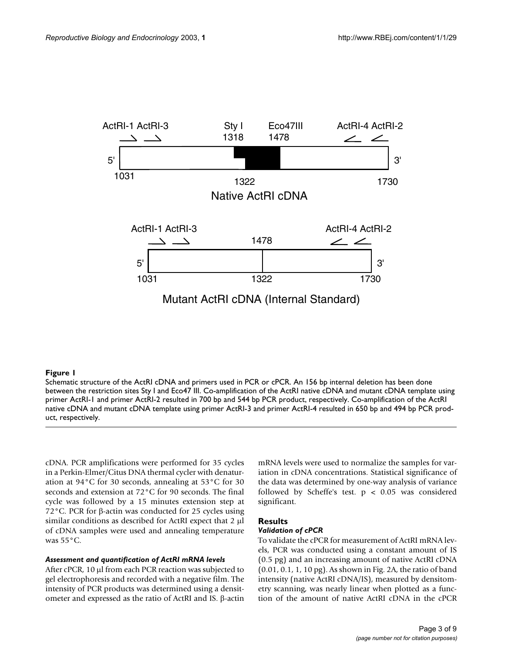<span id="page-2-0"></span>

Schematic structure of the ActRI cDNA and primers used in PCR or cPCR. An 156 bp internal deletion has been done between the restriction sites Sty I and Eco47 III. Co-amplification of the ActRI native cDNA and mutant cDNA template using primer ActRI-1 and primer ActRI-2 resulted in 700 bp and 544 bp PCR product, respectively. Co-amplification of the ActRI native cDNA and mutant cDNA template using primer ActRI-3 and primer ActRI-4 resulted in 650 bp and 494 bp PCR product, respectively.

cDNA. PCR amplifications were performed for 35 cycles in a Perkin-Elmer/Citus DNA thermal cycler with denaturation at 94°C for 30 seconds, annealing at 53°C for 30 seconds and extension at 72°C for 90 seconds. The final cycle was followed by a 15 minutes extension step at 72°C. PCR for β-actin was conducted for 25 cycles using similar conditions as described for ActRI expect that 2 µl of cDNA samples were used and annealing temperature was 55°C.

#### *Assessment and quantification of ActRI mRNA levels*

After cPCR, 10 µl from each PCR reaction was subjected to gel electrophoresis and recorded with a negative film. The intensity of PCR products was determined using a densitometer and expressed as the ratio of ActRI and IS. β-actin mRNA levels were used to normalize the samples for variation in cDNA concentrations. Statistical significance of the data was determined by one-way analysis of variance followed by Scheffe's test. p < 0.05 was considered significant.

#### **Results**

# *Validation of cPCR*

To validate the cPCR for measurement of ActRI mRNA levels, PCR was conducted using a constant amount of IS (0.5 pg) and an increasing amount of native ActRI cDNA (0.01, 0.1, 1, 10 pg). As shown in Fig. 2A, the ratio of band intensity (native ActRI cDNA/IS), measured by densitometry scanning, was nearly linear when plotted as a function of the amount of native ActRI cDNA in the cPCR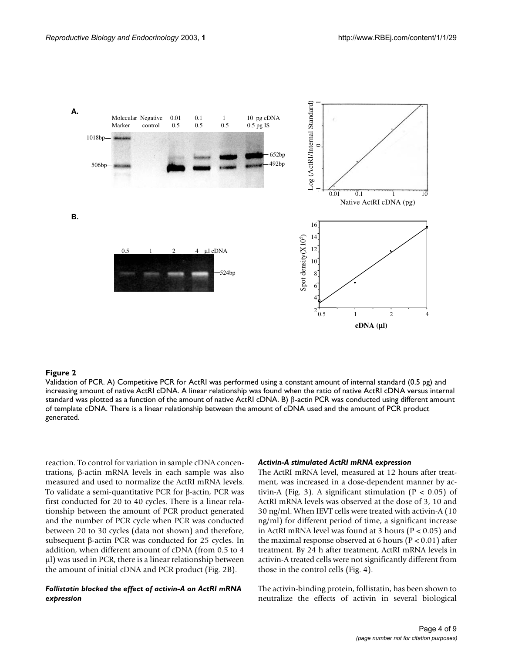

Validation of PCR. A) Competitive PCR for ActRI was performed using a constant amount of internal standard (0.5 pg) and increasing amount of native ActRI cDNA. A linear relationship was found when the ratio of native ActRI cDNA versus internal standard was plotted as a function of the amount of native ActRI cDNA. B) β-actin PCR was conducted using different amount of template cDNA. There is a linear relationship between the amount of cDNA used and the amount of PCR product generated.

reaction. To control for variation in sample cDNA concentrations, β-actin mRNA levels in each sample was also measured and used to normalize the ActRI mRNA levels. To validate a semi-quantitative PCR for β-actin, PCR was first conducted for 20 to 40 cycles. There is a linear relationship between the amount of PCR product generated and the number of PCR cycle when PCR was conducted between 20 to 30 cycles (data not shown) and therefore, subsequent β-actin PCR was conducted for 25 cycles. In addition, when different amount of cDNA (from 0.5 to 4 µl) was used in PCR, there is a linear relationship between the amount of initial cDNA and PCR product (Fig. 2B).

# *Follistatin blocked the effect of activin-A on ActRI mRNA expression*

#### *Activin-A stimulated ActRI mRNA expression*

The ActRI mRNA level, measured at 12 hours after treatment, was increased in a dose-dependent manner by ac-tivin-A (Fig. [3](#page-4-0)). A significant stimulation ( $P < 0.05$ ) of ActRI mRNA levels was observed at the dose of 3, 10 and 30 ng/ml. When IEVT cells were treated with activin-A (10 ng/ml) for different period of time, a significant increase in ActRI mRNA level was found at 3 hours ( $P < 0.05$ ) and the maximal response observed at 6 hours ( $P < 0.01$ ) after treatment. By 24 h after treatment, ActRI mRNA levels in activin-A treated cells were not significantly different from those in the control cells (Fig. [4\)](#page-5-0).

The activin-binding protein, follistatin, has been shown to neutralize the effects of activin in several biological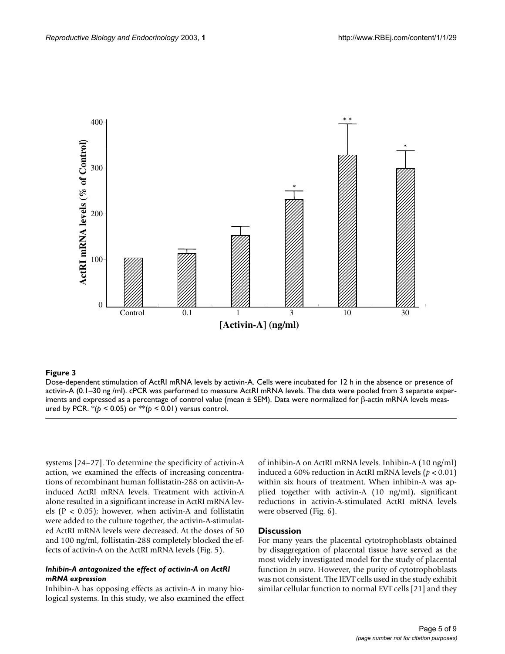<span id="page-4-0"></span>

Dose-dependent stimulation of ActRI mRNA levels by activin-A. Cells were incubated for 12 h in the absence or presence of activin-A (0.1–30 ng /ml). cPCR was performed to measure ActRI mRNA levels. The data were pooled from 3 separate experiments and expressed as a percentage of control value (mean ± SEM). Data were normalized for β-actin mRNA levels measured by PCR. \*(*p* < 0.05) or \*\*(*p* < 0.01) versus control.

systems [24–27]. To determine the specificity of activin-A action, we examined the effects of increasing concentrations of recombinant human follistatin-288 on activin-Ainduced ActRI mRNA levels. Treatment with activin-A alone resulted in a significant increase in ActRI mRNA levels ( $P < 0.05$ ); however, when activin-A and follistatin were added to the culture together, the activin-A-stimulated ActRI mRNA levels were decreased. At the doses of 50 and 100 ng/ml, follistatin-288 completely blocked the effects of activin-A on the ActRI mRNA levels (Fig. 5).

## *Inhibin-A antagonized the effect of activin-A on ActRI mRNA expression*

Inhibin-A has opposing effects as activin-A in many biological systems. In this study, we also examined the effect of inhibin-A on ActRI mRNA levels. Inhibin-A (10 ng/ml) induced a 60% reduction in ActRI mRNA levels (*p* < 0.01) within six hours of treatment. When inhibin-A was applied together with activin-A (10 ng/ml), significant reductions in activin-A-stimulated ActRI mRNA levels were observed (Fig. [6](#page-7-0)).

## **Discussion**

For many years the placental cytotrophoblasts obtained by disaggregation of placental tissue have served as the most widely investigated model for the study of placental function *in vitro*. However, the purity of cytotrophoblasts was not consistent. The IEVT cells used in the study exhibit similar cellular function to normal EVT cells [21] and they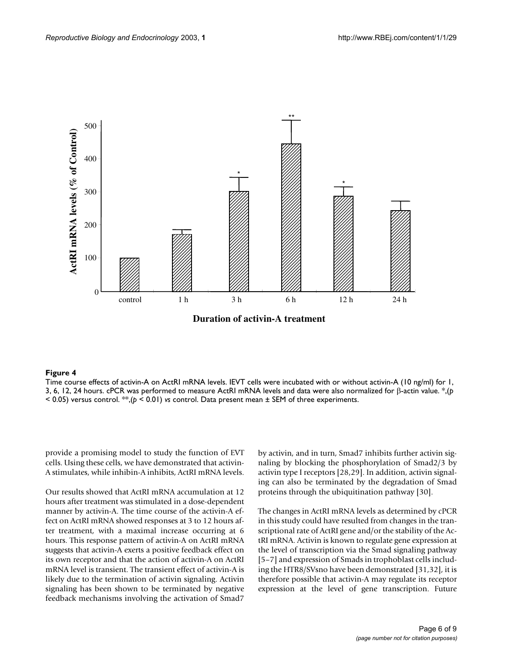<span id="page-5-0"></span>

Time course effects of activin-A on ActRI mRNA levels. IEVT cells were incubated with or without activin-A (10 ng/ml) for 1, 3, 6, 12, 24 hours. cPCR was performed to measure ActRI mRNA levels and data were also normalized for β-actin value. \*,(*p*  < 0.05) versus control. \*\*,(*p* < 0.01) *vs* control. Data present mean ± SEM of three experiments.

provide a promising model to study the function of EVT cells. Using these cells, we have demonstrated that activin-A stimulates, while inhibin-A inhibits, ActRI mRNA levels.

Our results showed that ActRI mRNA accumulation at 12 hours after treatment was stimulated in a dose-dependent manner by activin-A. The time course of the activin-A effect on ActRI mRNA showed responses at 3 to 12 hours after treatment, with a maximal increase occurring at 6 hours. This response pattern of activin-A on ActRI mRNA suggests that activin-A exerts a positive feedback effect on its own receptor and that the action of activin-A on ActRI mRNA level is transient. The transient effect of activin-A is likely due to the termination of activin signaling. Activin signaling has been shown to be terminated by negative feedback mechanisms involving the activation of Smad7

by activin, and in turn, Smad7 inhibits further activin signaling by blocking the phosphorylation of Smad2/3 by activin type I receptors [28,29]. In addition, activin signaling can also be terminated by the degradation of Smad proteins through the ubiquitination pathway [30].

The changes in ActRI mRNA levels as determined by cPCR in this study could have resulted from changes in the transcriptional rate of ActRI gene and/or the stability of the ActRI mRNA. Activin is known to regulate gene expression at the level of transcription via the Smad signaling pathway [5–7] and expression of Smads in trophoblast cells including the HTR8/SVsno have been demonstrated [31,32], it is therefore possible that activin-A may regulate its receptor expression at the level of gene transcription. Future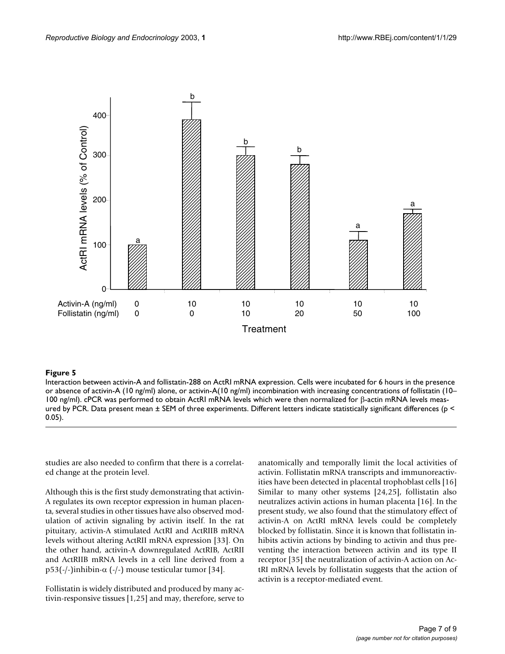

Interaction between activin-A and follistatin-288 on ActRI mRNA expression. Cells were incubated for 6 hours in the presence or absence of activin-A (10 ng/ml) alone, or activin-A(10 ng/ml) incombination with increasing concentrations of follistatin (10– 100 ng/ml). cPCR was performed to obtain ActRI mRNA levels which were then normalized for β-actin mRNA levels measured by PCR. Data present mean ± SEM of three experiments. Different letters indicate statistically significant differences (p < 0.05).

studies are also needed to confirm that there is a correlated change at the protein level.

Although this is the first study demonstrating that activin-A regulates its own receptor expression in human placenta, several studies in other tissues have also observed modulation of activin signaling by activin itself. In the rat pituitary, activin-A stimulated ActRI and ActRIIB mRNA levels without altering ActRII mRNA expression [33]. On the other hand, activin-A downregulated ActRIB, ActRII and ActRIIB mRNA levels in a cell line derived from a p53(-/-)inhibin- $\alpha$  (-/-) mouse testicular tumor [34].

Follistatin is widely distributed and produced by many activin-responsive tissues [1,25] and may, therefore, serve to

anatomically and temporally limit the local activities of activin. Follistatin mRNA transcripts and immunoreactivities have been detected in placental trophoblast cells [16] Similar to many other systems [24,25], follistatin also neutralizes activin actions in human placenta [16]. In the present study, we also found that the stimulatory effect of activin-A on ActRI mRNA levels could be completely blocked by follistatin. Since it is known that follistatin inhibits activin actions by binding to activin and thus preventing the interaction between activin and its type II receptor [35] the neutralization of activin-A action on ActRI mRNA levels by follistatin suggests that the action of activin is a receptor-mediated event.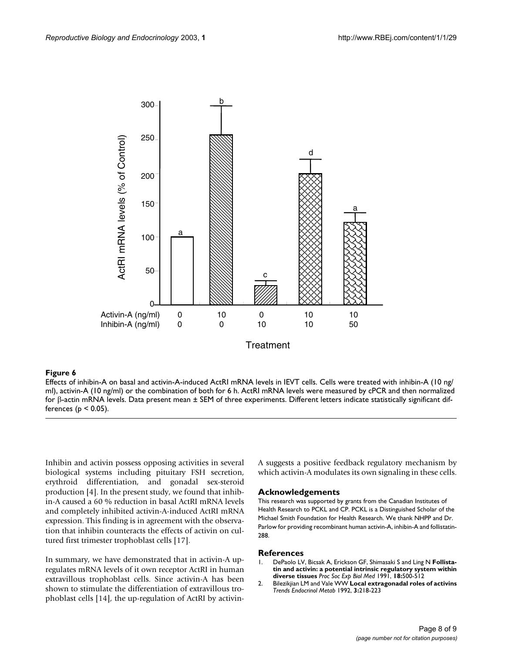<span id="page-7-0"></span>

Effects of inhibin-A on basal and activin-A-induced ActRI mRNA levels in IEVT cells. Cells were treated with inhibin-A (10 ng/ ml), activin-A (10 ng/ml) or the combination of both for 6 h. ActRI mRNA levels were measured by cPCR and then normalized for β-actin mRNA levels. Data present mean ± SEM of three experiments. Different letters indicate statistically significant differences ( $p < 0.05$ ).

Inhibin and activin possess opposing activities in several biological systems including pituitary FSH secretion, erythroid differentiation, and gonadal sex-steroid production [4]. In the present study, we found that inhibin-A caused a 60 % reduction in basal ActRI mRNA levels and completely inhibited activin-A-induced ActRI mRNA expression. This finding is in agreement with the observation that inhibin counteracts the effects of activin on cultured first trimester trophoblast cells [17].

In summary, we have demonstrated that in activin-A upregulates mRNA levels of it own receptor ActRI in human extravillous trophoblast cells. Since activin-A has been shown to stimulate the differentiation of extravillous trophoblast cells [14], the up-regulation of ActRI by activinA suggests a positive feedback regulatory mechanism by which activin-A modulates its own signaling in these cells.

#### **Acknowledgements**

This research was supported by grants from the Canadian Institutes of Health Research to PCKL and CP. PCKL is a Distinguished Scholar of the Michael Smith Foundation for Health Research. We thank NHPP and Dr. Parlow for providing recombinant human activin-A, inhibin-A and follistatin-288.

#### **References**

- 1. DePaolo LV, Bicsak A, Erickson GF, Shimasaki S and Ling N **Follistatin and activin: a potential intrinsic regulatory system within diverse tissues** *Proc Soc Exp Biol Med* 1991, **18:**500-512
- 2. Bilezikjian LM and Vale WW **Local extragonadal roles of activins** *Trends Endocrinol Metab* 1992, **3:**218-223